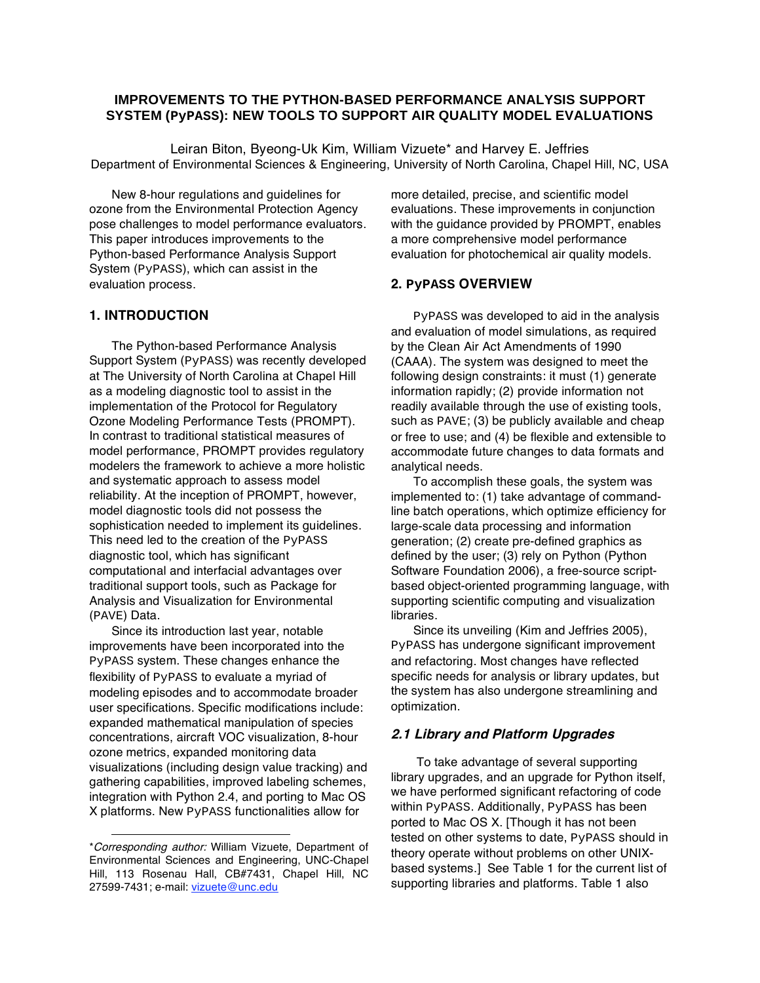## **IMPROVEMENTS TO THE PYTHON-BASED PERFORMANCE ANALYSIS SUPPORT SYSTEM (PyPASS): NEW TOOLS TO SUPPORT AIR QUALITY MODEL EVALUATIONS**

Leiran Biton, Byeong-Uk Kim, William Vizuete\* and Harvey E. Jeffries Department of Environmental Sciences & Engineering, University of North Carolina, Chapel Hill, NC, USA

New 8-hour regulations and guidelines for ozone from the Environmental Protection Agency pose challenges to model performance evaluators. This paper introduces improvements to the Python-based Performance Analysis Support System (PyPASS), which can assist in the evaluation process.

## **1. INTRODUCTION**

The Python-based Performance Analysis Support System (PyPASS) was recently developed at The University of North Carolina at Chapel Hill as a modeling diagnostic tool to assist in the implementation of the Protocol for Regulatory Ozone Modeling Performance Tests (PROMPT). In contrast to traditional statistical measures of model performance, PROMPT provides regulatory modelers the framework to achieve a more holistic and systematic approach to assess model reliability. At the inception of PROMPT, however, model diagnostic tools did not possess the sophistication needed to implement its guidelines. This need led to the creation of the PyPASS diagnostic tool, which has significant computational and interfacial advantages over traditional support tools, such as Package for Analysis and Visualization for Environmental (PAVE) Data.

Since its introduction last year, notable improvements have been incorporated into the PyPASS system. These changes enhance the flexibility of PyPASS to evaluate a myriad of modeling episodes and to accommodate broader user specifications. Specific modifications include: expanded mathematical manipulation of species concentrations, aircraft VOC visualization, 8-hour ozone metrics, expanded monitoring data visualizations (including design value tracking) and gathering capabilities, improved labeling schemes, integration with Python 2.4, and porting to Mac OS X platforms. New PyPASS functionalities allow for

-

more detailed, precise, and scientific model evaluations. These improvements in conjunction with the guidance provided by PROMPT, enables a more comprehensive model performance evaluation for photochemical air quality models.

#### **2. PyPASS OVERVIEW**

PyPASS was developed to aid in the analysis and evaluation of model simulations, as required by the Clean Air Act Amendments of 1990 (CAAA). The system was designed to meet the following design constraints: it must (1) generate information rapidly; (2) provide information not readily available through the use of existing tools, such as PAVE; (3) be publicly available and cheap or free to use; and (4) be flexible and extensible to accommodate future changes to data formats and analytical needs.

To accomplish these goals, the system was implemented to: (1) take advantage of commandline batch operations, which optimize efficiency for large-scale data processing and information generation; (2) create pre-defined graphics as defined by the user; (3) rely on Python (Python Software Foundation 2006), a free-source scriptbased object-oriented programming language, with supporting scientific computing and visualization libraries.

Since its unveiling (Kim and Jeffries 2005), PyPASS has undergone significant improvement and refactoring. Most changes have reflected specific needs for analysis or library updates, but the system has also undergone streamlining and optimization.

#### **2.1 Library and Platform Upgrades**

 To take advantage of several supporting library upgrades, and an upgrade for Python itself, we have performed significant refactoring of code within PyPASS. Additionally, PyPASS has been ported to Mac OS X. [Though it has not been tested on other systems to date, PyPASS should in theory operate without problems on other UNIXbased systems.] See Table 1 for the current list of supporting libraries and platforms. Table 1 also

<sup>\*</sup>Corresponding author: William Vizuete, Department of Environmental Sciences and Engineering, UNC-Chapel Hill, 113 Rosenau Hall, CB#7431, Chapel Hill, NC 27599-7431; e-mail: vizuete@unc.edu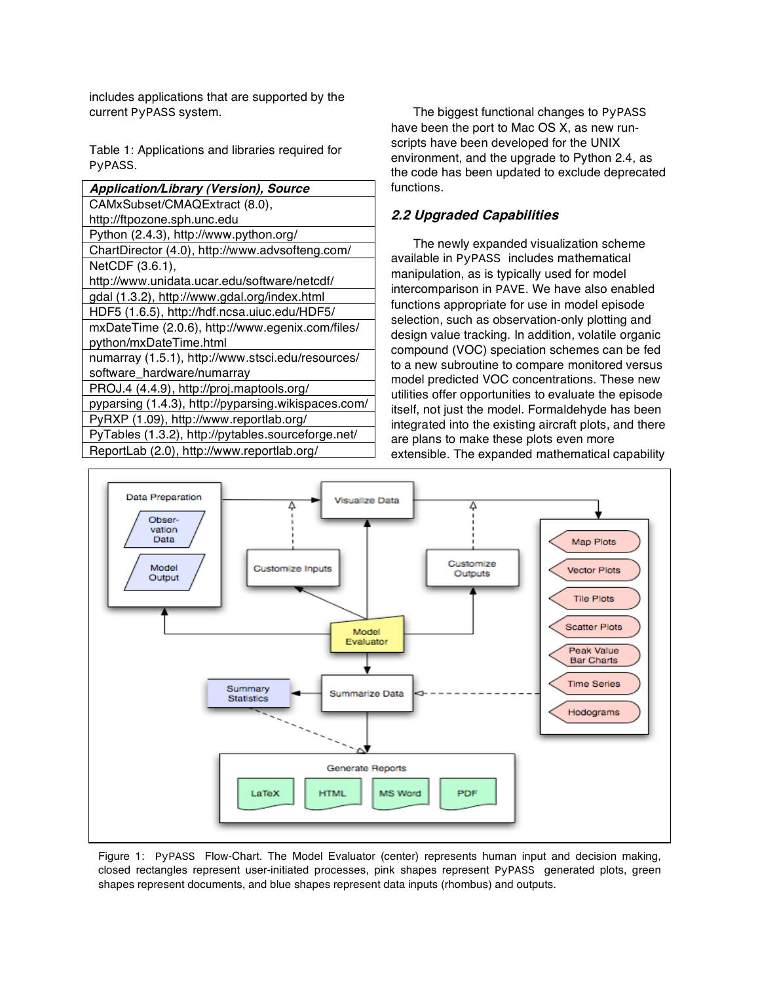includes applications that are supported by the current PyPASS system.

Table 1: Applications and libraries required for PyPASS.

| Application/Library (Version), Source               |
|-----------------------------------------------------|
| CAMxSubset/CMAQExtract (8.0),                       |
| http://ftpozone.sph.unc.edu                         |
| Python (2.4.3), http://www.python.org/              |
| ChartDirector (4.0), http://www.advsofteng.com/     |
| NetCDF (3.6.1),                                     |
| http://www.unidata.ucar.edu/software/netcdf/        |
| gdal (1.3.2), http://www.gdal.org/index.html        |
| HDF5 (1.6.5), http://hdf.ncsa.uiuc.edu/HDF5/        |
| mxDateTime (2.0.6), http://www.egenix.com/files/    |
| python/mxDateTime.html                              |
| numarray (1.5.1), http://www.stsci.edu/resources/   |
| software_hardware/numarray                          |
| PROJ.4 (4.4.9), http://proj.maptools.org/           |
| pyparsing (1.4.3), http://pyparsing.wikispaces.com/ |
| PyRXP (1.09), http://www.reportlab.org/             |
| PyTables (1.3.2), http://pytables.sourceforge.net/  |

ReportLab (2.0), http://www.reportlab.org/

The biggest functional changes to PyPASS have been the port to Mac OS X, as new runscripts have been developed for the UNIX environment, and the upgrade to Python 2.4, as the code has been updated to exclude deprecated functions.

# **2.2 Upgraded Capabilities**

The newly expanded visualization scheme available in PyPASS includes mathematical manipulation, as is typically used for model intercomparison in PAVE. We have also enabled functions appropriate for use in model episode selection, such as observation-only plotting and design value tracking. In addition, volatile organic compound (VOC) speciation schemes can be fed to a new subroutine to compare monitored versus model predicted VOC concentrations. These new utilities offer opportunities to evaluate the episode itself, not just the model. Formaldehyde has been integrated into the existing aircraft plots, and there are plans to make these plots even more extensible. The expanded mathematical capability



Figure 1: PyPASS Flow-Chart. The Model Evaluator (center) represents human input and decision making, closed rectangles represent user-initiated processes, pink shapes represent PyPASS generated plots, green shapes represent documents, and blue shapes represent data inputs (rhombus) and outputs.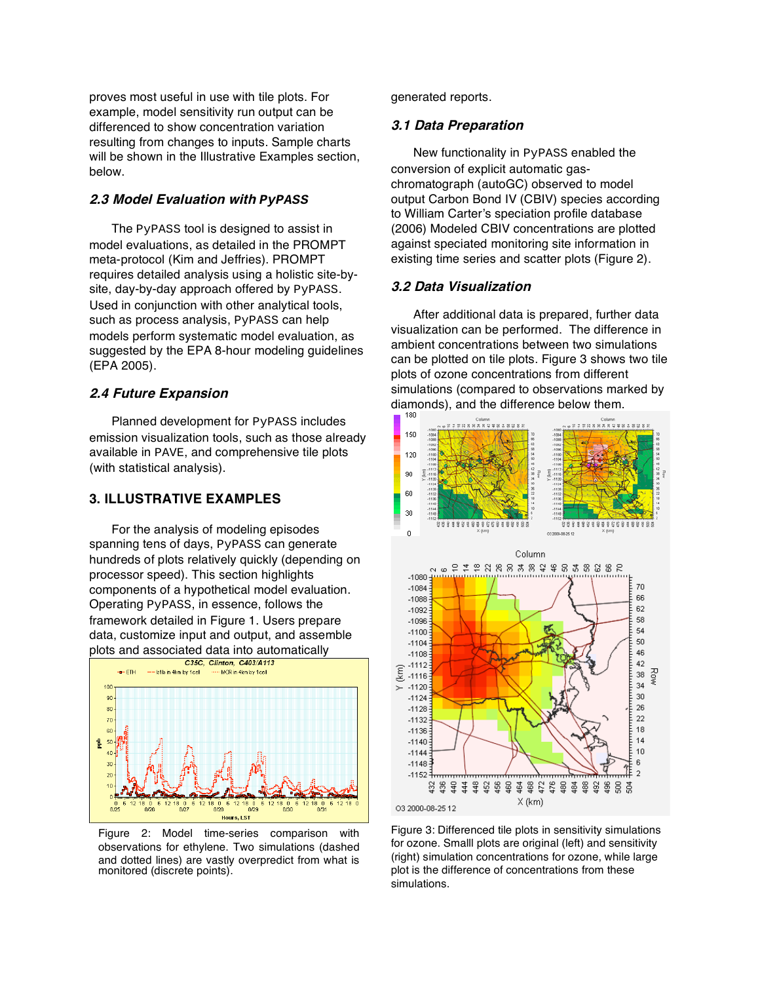proves most useful in use with tile plots. For example, model sensitivity run output can be differenced to show concentration variation resulting from changes to inputs. Sample charts will be shown in the Illustrative Examples section, below.

### **2.3 Model Evaluation with** *PyPASS*

The PyPASS tool is designed to assist in model evaluations, as detailed in the PROMPT meta-protocol (Kim and Jeffries). PROMPT requires detailed analysis using a holistic site-bysite, day-by-day approach offered by PyPASS. Used in conjunction with other analytical tools, such as process analysis, PyPASS can help models perform systematic model evaluation, as suggested by the EPA 8-hour modeling guidelines (EPA 2005).

#### **2.4 Future Expansion**

Planned development for PyPASS includes emission visualization tools, such as those already available in PAVE, and comprehensive tile plots (with statistical analysis).

### **3. ILLUSTRATIVE EXAMPLES**

For the analysis of modeling episodes spanning tens of days, PyPASS can generate hundreds of plots relatively quickly (depending on processor speed). This section highlights components of a hypothetical model evaluation. Operating PyPASS, in essence, follows the framework detailed in Figure 1. Users prepare data, customize input and output, and assemble plots and associated data into automatically<br>
Figure 10036, Clinton, C403/A113



Figure 2: Model time-series comparison with observations for ethylene. Two simulations (dashed and dotted lines) are vastly overpredict from what is monitored (discrete points).

generated reports.

#### **3.1 Data Preparation**

New functionality in PyPASS enabled the conversion of explicit automatic gaschromatograph (autoGC) observed to model output Carbon Bond IV (CBIV) species according to William Carter's speciation profile database (2006) Modeled CBIV concentrations are plotted against speciated monitoring site information in existing time series and scatter plots (Figure 2).

### **3.2 Data Visualization**

After additional data is prepared, further data visualization can be performed. The difference in ambient concentrations between two simulations can be plotted on tile plots. Figure 3 shows two tile plots of ozone concentrations from different simulations (compared to observations marked by diamonds), and the difference below them.



Figure 3: Differenced tile plots in sensitivity simulations for ozone. Smalll plots are original (left) and sensitivity (right) simulation concentrations for ozone, while large plot is the difference of concentrations from these simulations.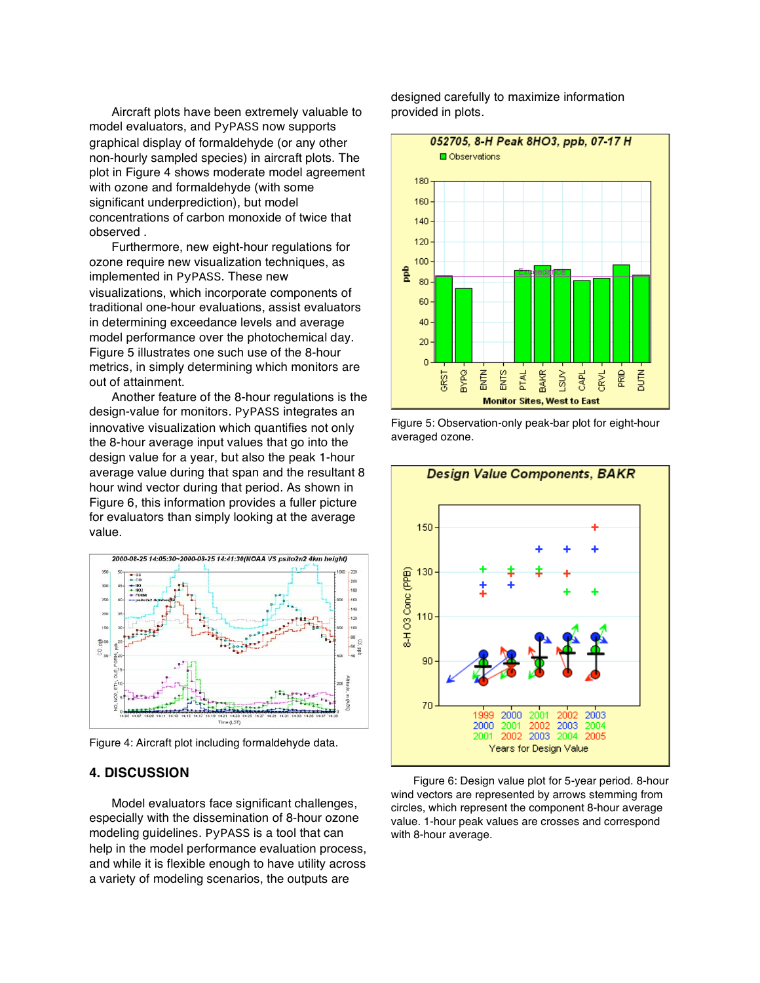Aircraft plots have been extremely valuable to model evaluators, and PyPASS now supports graphical display of formaldehyde (or any other non-hourly sampled species) in aircraft plots. The plot in Figure 4 shows moderate model agreement with ozone and formaldehyde (with some significant underprediction), but model concentrations of carbon monoxide of twice that observed .

Furthermore, new eight-hour regulations for ozone require new visualization techniques, as implemented in PyPASS. These new visualizations, which incorporate components of traditional one-hour evaluations, assist evaluators in determining exceedance levels and average model performance over the photochemical day. Figure 5 illustrates one such use of the 8-hour metrics, in simply determining which monitors are out of attainment.

Another feature of the 8-hour regulations is the design-value for monitors. PyPASS integrates an innovative visualization which quantifies not only the 8-hour average input values that go into the design value for a year, but also the peak 1-hour average value during that span and the resultant 8 hour wind vector during that period. As shown in Figure 6, this information provides a fuller picture for evaluators than simply looking at the average value.



Figure 4: Aircraft plot including formaldehyde data.

# **4. DISCUSSION**

Model evaluators face significant challenges, especially with the dissemination of 8-hour ozone modeling guidelines. PyPASS is a tool that can help in the model performance evaluation process. and while it is flexible enough to have utility across a variety of modeling scenarios, the outputs are

designed carefully to maximize information provided in plots.



Figure 5: Observation-only peak-bar plot for eight-hour averaged ozone.



Figure 6: Design value plot for 5-year period. 8-hour wind vectors are represented by arrows stemming from circles, which represent the component 8-hour average value. 1-hour peak values are crosses and correspond with 8-hour average.